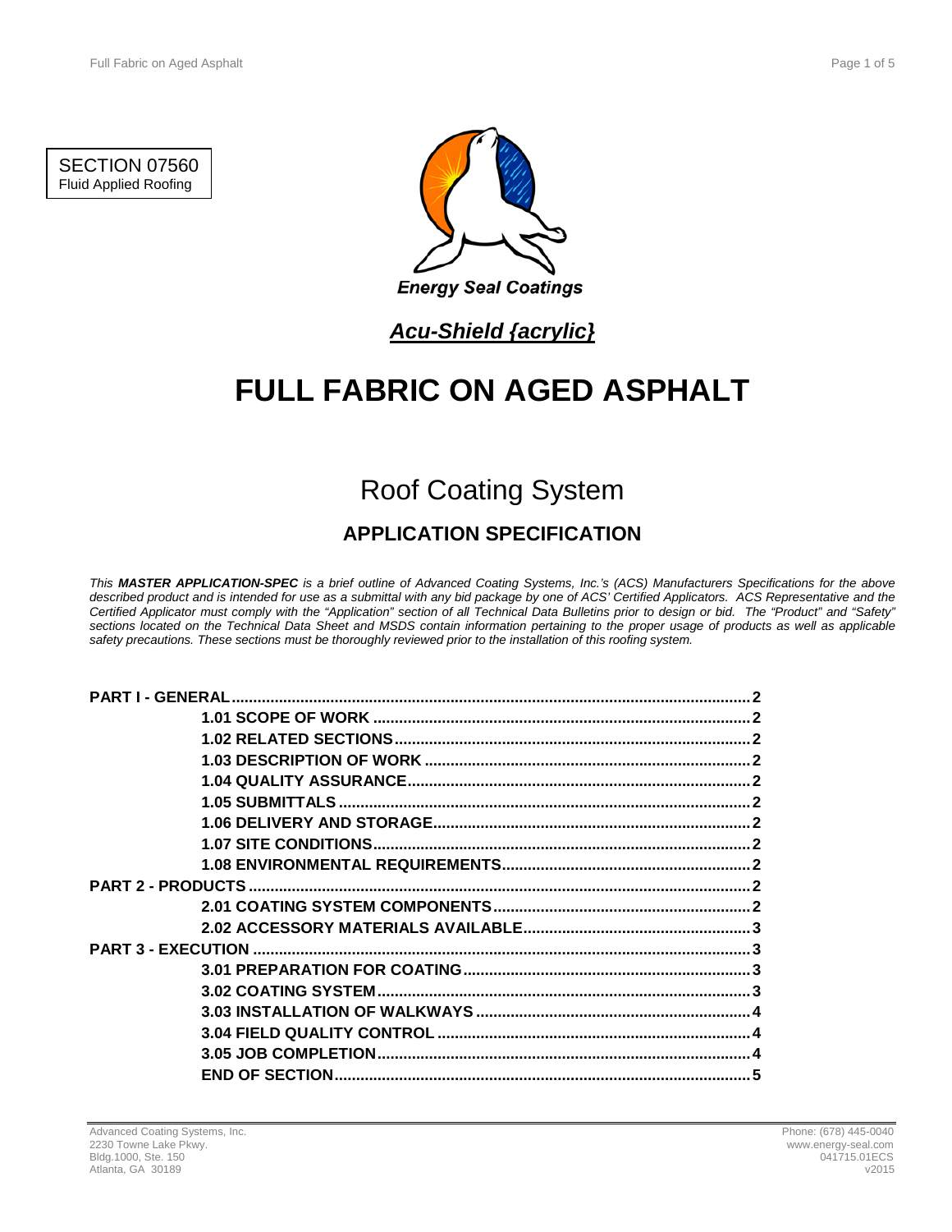SECTION 07560 Fluid Applied Roofing



## *Acu-Shield {acrylic}*

# **FULL FABRIC ON AGED ASPHALT**

# Roof Coating System

### **APPLICATION SPECIFICATION**

*This MASTER APPLICATION-SPEC is a brief outline of Advanced Coating Systems, Inc.'s (ACS) Manufacturers Specifications for the above described product and is intended for use as a submittal with any bid package by one of ACS' Certified Applicators. ACS Representative and the Certified Applicator must comply with the "Application" section of all Technical Data Bulletins prior to design or bid. The "Product" and "Safety" sections located on the Technical Data Sheet and MSDS contain information pertaining to the proper usage of products as well as applicable safety precautions. These sections must be thoroughly reviewed prior to the installation of this roofing system.*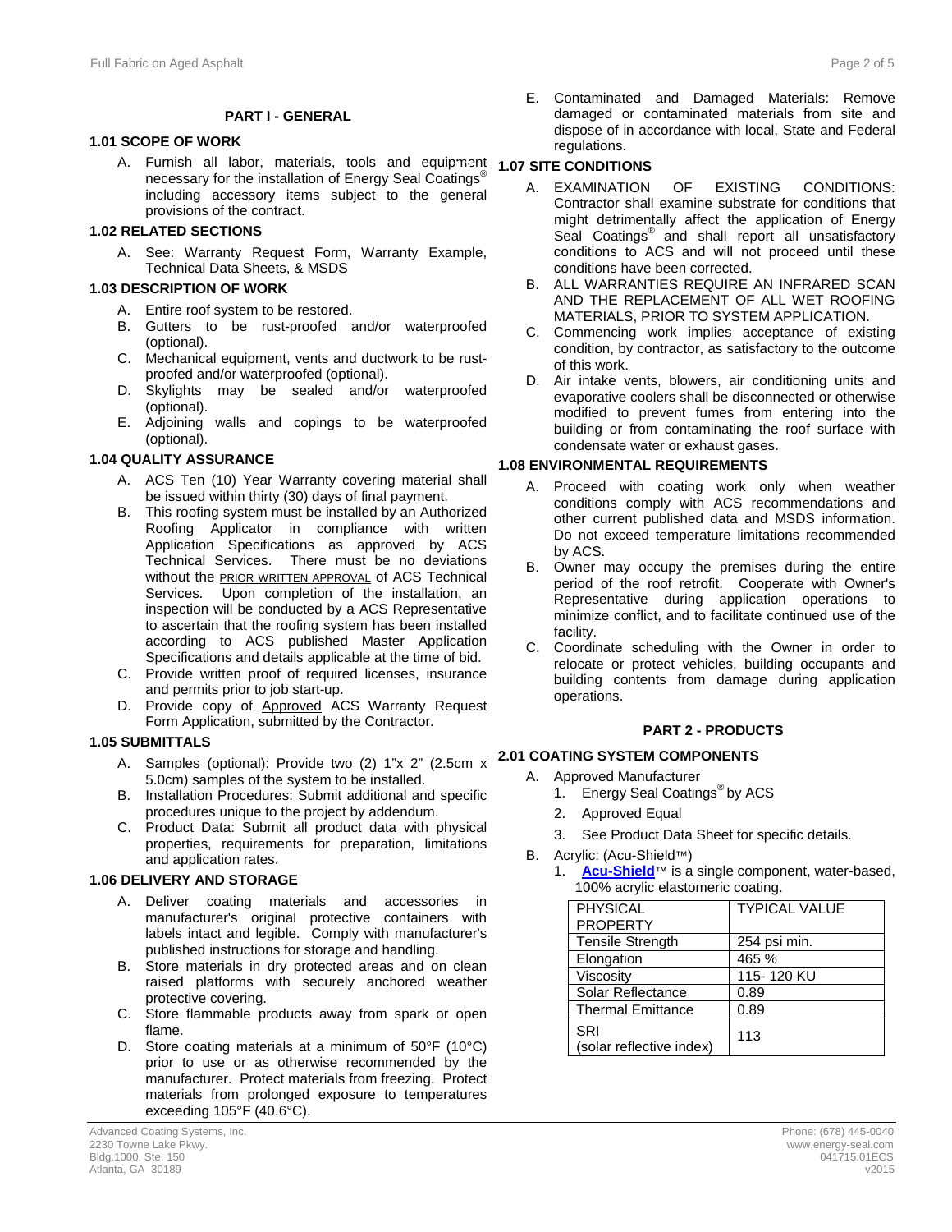#### **PART I - GENERAL**

#### **1.1 1.01 SCOPE OF WORK**

A. Furnish all labor, materials, tools and equipment **1.7 1.07 SITE CONDITIONS**  necessary for the installation of Energy Seal Coatings<sup>®</sup> including accessory items subject to the general provisions of the contract.

#### **1.2 1.02 RELATED SECTIONS**

A. See: Warranty Request Form, Warranty Example, Technical Data Sheets, & MSDS

#### **1.3 1.03 DESCRIPTION OF WORK**

- A. Entire roof system to be restored.
- B. Gutters to be rust-proofed and/or waterproofed (optional).
- C. Mechanical equipment, vents and ductwork to be rustproofed and/or waterproofed (optional).
- D. Skylights may be sealed and/or waterproofed (optional).
- E. Adjoining walls and copings to be waterproofed (optional).

#### **1.4 1.04 QUALITY ASSURANCE**

- A. ACS Ten (10) Year Warranty covering material shall be issued within thirty (30) days of final payment.
- B. This roofing system must be installed by an Authorized Roofing Applicator in compliance with written Application Specifications as approved by ACS Technical Services. There must be no deviations without the **PRIOR WRITTEN APPROVAL** of ACS Technical Services. Upon completion of the installation, an inspection will be conducted by a ACS Representative to ascertain that the roofing system has been installed according to ACS published Master Application Specifications and details applicable at the time of bid.
- C. Provide written proof of required licenses, insurance and permits prior to job start-up.
- D. Provide copy of Approved ACS Warranty Request Form Application, submitted by the Contractor.

#### **1.5 1.05 SUBMITTALS**

- A. Samples (optional): Provide two (2) 1"x 2" (2.5cm x 5.0cm) samples of the system to be installed.
- B. Installation Procedures: Submit additional and specific procedures unique to the project by addendum.
- C. Product Data: Submit all product data with physical properties, requirements for preparation, limitations and application rates.

#### **1.6 1.06 DELIVERY AND STORAGE**

- A. Deliver coating materials and accessories in manufacturer's original protective containers with labels intact and legible. Comply with manufacturer's published instructions for storage and handling.
- B. Store materials in dry protected areas and on clean raised platforms with securely anchored weather protective covering.
- C. Store flammable products away from spark or open flame.
- D. Store coating materials at a minimum of 50°F (10°C) prior to use or as otherwise recommended by the manufacturer. Protect materials from freezing. Protect materials from prolonged exposure to temperatures exceeding 105°F (40.6°C).

E. Contaminated and Damaged Materials: Remove damaged or contaminated materials from site and dispose of in accordance with local, State and Federal regulations.

- A. EXAMINATION OF EXISTING CONDITIONS: Contractor shall examine substrate for conditions that might detrimentally affect the application of Energy Seal Coatings<sup>®</sup> and shall report all unsatisfactory conditions to ACS and will not proceed until these conditions have been corrected.
- B. ALL WARRANTIES REQUIRE AN INFRARED SCAN AND THE REPLACEMENT OF ALL WET ROOFING MATERIALS, PRIOR TO SYSTEM APPLICATION.
- C. Commencing work implies acceptance of existing condition, by contractor, as satisfactory to the outcome of this work.
- D. Air intake vents, blowers, air conditioning units and evaporative coolers shall be disconnected or otherwise modified to prevent fumes from entering into the building or from contaminating the roof surface with condensate water or exhaust gases.

#### **1.8 1.08 ENVIRONMENTAL REQUIREMENTS**

- A. Proceed with coating work only when weather conditions comply with ACS recommendations and other current published data and MSDS information. Do not exceed temperature limitations recommended by ACS.
- B. Owner may occupy the premises during the entire period of the roof retrofit. Cooperate with Owner's Representative during application operations to minimize conflict, and to facilitate continued use of the facility.
- C. Coordinate scheduling with the Owner in order to relocate or protect vehicles, building occupants and building contents from damage during application operations.

#### **2 PART 2 - PRODUCTS**

#### **2.1 2.01 COATING SYSTEM COMPONENTS**

- A. Approved Manufacturer
	- 1. Energy Seal Coatings<sup>®</sup> by ACS
	- 2. Approved Equal
	- 3. See Product Data Sheet for specific details.
- B. Acrylic: (Acu-Shield™)
	- 1. **[Acu-Shield](http://www.energy-seal.com/UserDyn/ACS/pdfs/acu-shield.pdf)**™ is a single component, water-based, 100% acrylic elastomeric coating.

| PHYSICAL                        | <b>TYPICAL VALUE</b> |
|---------------------------------|----------------------|
| <b>PROPERTY</b>                 |                      |
| <b>Tensile Strength</b>         | 254 psi min.         |
| Elongation                      | 465 %                |
| Viscosity                       | 115-120 KU           |
| Solar Reflectance               | 0.89                 |
| <b>Thermal Emittance</b>        | 0.89                 |
| SRI<br>(solar reflective index) | 113                  |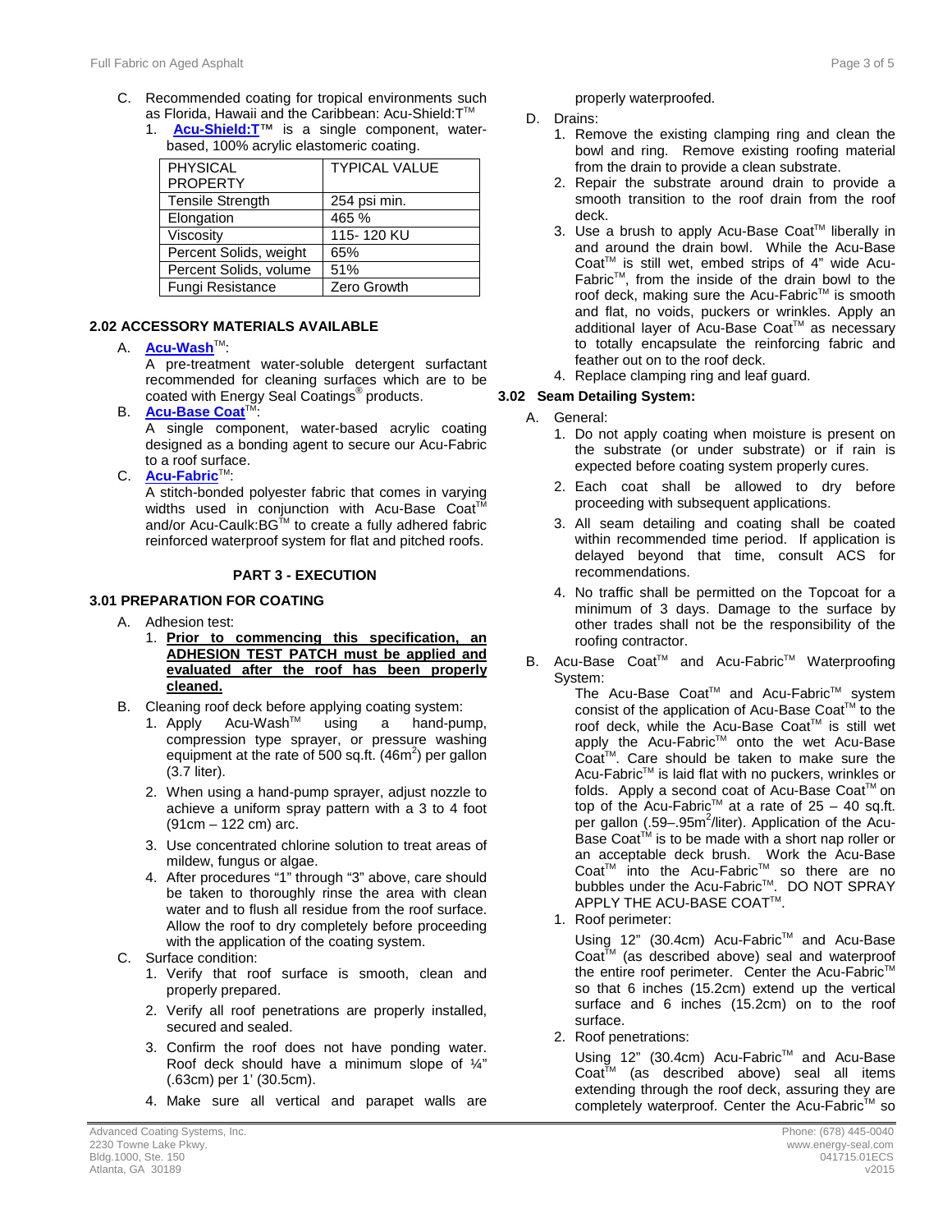- C. Recommended coating for tropical environments such as Florida, Hawaii and the Caribbean: Acu-Shield:T™
	- 1. **[Acu-Shield:T](http://www.energy-seal.com/UserDyn/ACS/pdfs/acu-shield-t.pdf)**™ is a single component, waterbased, 100% acrylic elastomeric coating.

| PHYSICAL                | <b>TYPICAL VALUE</b> |
|-------------------------|----------------------|
| <b>PROPERTY</b>         |                      |
| <b>Tensile Strength</b> | 254 psi min.         |
| Elongation              | 465 %                |
| Viscosity               | 115-120 KU           |
| Percent Solids, weight  | 65%                  |
| Percent Solids, volume  | 51%                  |
| Fungi Resistance        | Zero Growth          |

#### **2.2 2.02 ACCESSORY MATERIALS AVAILABLE**

A. **[Acu-Wash](http://www.energy-seal.com/UserDyn/ACS/pdfs/acu-wash.pdf)**TM:

A pre-treatment water-soluble detergent surfactant recommended for cleaning surfaces which are to be coated with Energy Seal Coatings® products.

**B. [Acu-Base Coat](http://energy-seal.com/wp-content/uploads/2015/02/Acu-Base-Coat.pdf)**<sup>T</sup>

A single component, water-based acrylic coating designed as a bonding agent to secure our Acu-Fabric to a roof surface.

C. **[Acu-Fabric](http://www.energy-seal.com/UserDyn/ACS/pdfs/acu-fabric-sb.pdf)**™:

A stitch-bonded polyester fabric that comes in varying widths used in conjunction with Acu-Base Coat<sup>T</sup> and/or Acu-Caulk:BG™ to create a fully adhered fabric reinforced waterproof system for flat and pitched roofs.

#### **3 PART 3 - EXECUTION**

#### **3.1 3.01 PREPARATION FOR COATING**

- A. Adhesion test:
	- 1. **Prior to commencing this specification, an ADHESION TEST PATCH must be applied and evaluated after the roof has been properly cleaned.**
- B. Cleaning roof deck before applying coating system:<br>1. Apply Acu-Wash<sup>™</sup> using a hand-pui
	- 1. Apply Acu-WashTM using a hand-pump, compression type sprayer, or pressure washing equipment at the rate of 500 sq.ft.  $(46m^2)$  per gallon (3.7 liter).
	- 2. When using a hand-pump sprayer, adjust nozzle to achieve a uniform spray pattern with a 3 to 4 foot (91cm – 122 cm) arc.
	- 3. Use concentrated chlorine solution to treat areas of mildew, fungus or algae.
	- 4. After procedures "1" through "3" above, care should be taken to thoroughly rinse the area with clean water and to flush all residue from the roof surface. Allow the roof to dry completely before proceeding with the application of the coating system.
- C. Surface condition:
	- 1. Verify that roof surface is smooth, clean and properly prepared.
	- 2. Verify all roof penetrations are properly installed, secured and sealed.
	- 3. Confirm the roof does not have ponding water. Roof deck should have a minimum slope of ¼" (.63cm) per 1' (30.5cm).
	- 4. Make sure all vertical and parapet walls are

properly waterproofed.

- D. Drains:
	- 1. Remove the existing clamping ring and clean the bowl and ring. Remove existing roofing material from the drain to provide a clean substrate.
	- 2. Repair the substrate around drain to provide a smooth transition to the roof drain from the roof deck.
	- 3. Use a brush to apply Acu-Base Coat™ liberally in and around the drain bowl. While the Acu-Base Coat<sup>™</sup> is still wet, embed strips of 4" wide Acu-FabricTM, from the inside of the drain bowl to the roof deck, making sure the Acu-Fabric™ is smooth and flat, no voids, puckers or wrinkles. Apply an additional layer of Acu-Base Coat™ as necessary to totally encapsulate the reinforcing fabric and feather out on to the roof deck.
	- 4. Replace clamping ring and leaf guard.

#### **3.2 3.02 Seam Detailing System:**

- A. General:
	- 1. Do not apply coating when moisture is present on the substrate (or under substrate) or if rain is expected before coating system properly cures.
	- 2. Each coat shall be allowed to dry before proceeding with subsequent applications.
	- 3. All seam detailing and coating shall be coated within recommended time period. If application is delayed beyond that time, consult ACS for recommendations.
	- 4. No traffic shall be permitted on the Topcoat for a minimum of 3 days. Damage to the surface by other trades shall not be the responsibility of the roofing contractor.
- B. Acu-Base Coat™ and Acu-Fabric<sup>™</sup> Waterproofing System:

The Acu-Base Coat™ and Acu-Fabric<sup>™</sup> system consist of the application of Acu-Base Coat™ to the roof deck, while the Acu-Base Coat™ is still wet apply the Acu-Fabric™ onto the wet Acu-Base CoatTM. Care should be taken to make sure the Acu-Fabric™ is laid flat with no puckers, wrinkles or folds. Apply a second coat of Acu-Base Coat™ on top of the Acu-Fabric<sup>™</sup> at a rate of  $25 - 40$  sq.ft. per gallon (.59-.95m<sup>2</sup>/liter). Application of the Acu-Base Coat™ is to be made with a short nap roller or an acceptable deck brush. Work the Acu-Base Coat<sup>™</sup> into the Acu-Fabric<sup>™</sup> so there are no bubbles under the Acu-Fabric™. DO NOT SPRAY APPLY THE ACU-BASE COAT™.

1. Roof perimeter:

Using 12" (30.4cm) Acu-Fabric™ and Acu-Base Coat™ (as described above) seal and waterproof the entire roof perimeter. Center the Acu-Fabric<sup>™</sup> so that 6 inches (15.2cm) extend up the vertical surface and 6 inches (15.2cm) on to the roof surface.

2. Roof penetrations:

Using 12" (30.4cm) Acu-Fabric™ and Acu-Base Coat<sup>™</sup> (as described above) seal all items extending through the roof deck, assuring they are completely waterproof. Center the Acu-Fabric™ so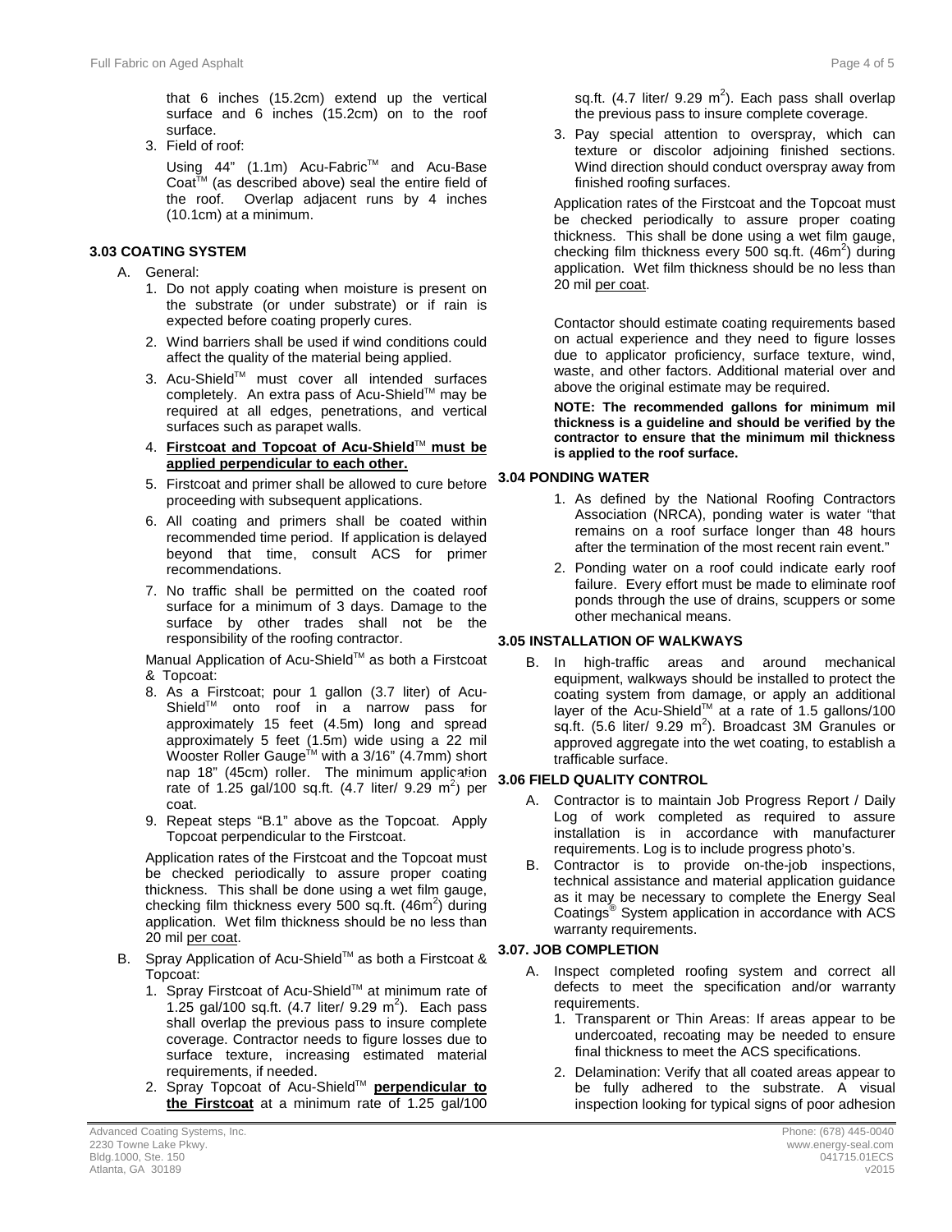that 6 inches (15.2cm) extend up the vertical surface and 6 inches (15.2cm) on to the roof surface.

3. Field of roof:

Using 44" (1.1m) Acu-Fabric™ and Acu-Base Coat<sup>™</sup> (as described above) seal the entire field of the roof. Overlap adjacent runs by 4 inches (10.1cm) at a minimum.

#### **3.3 3.03 COATING SYSTEM**

- A. General:
	- 1. Do not apply coating when moisture is present on the substrate (or under substrate) or if rain is expected before coating properly cures.
	- 2. Wind barriers shall be used if wind conditions could affect the quality of the material being applied.
	- 3. Acu-Shield™ must cover all intended surfaces completely. An extra pass of Acu-Shield™ may be required at all edges, penetrations, and vertical surfaces such as parapet walls.
	- 4. **Firstcoat and Topcoat of Acu-Shield**TM **must be applied perpendicular to each other.**
	- 5. Firstcoat and primer shall be allowed to cure before proceeding with subsequent applications.
	- 6. All coating and primers shall be coated within recommended time period. If application is delayed beyond that time, consult ACS for primer recommendations.
	- 7. No traffic shall be permitted on the coated roof surface for a minimum of 3 days. Damage to the surface by other trades shall not be the responsibility of the roofing contractor.

Manual Application of Acu-Shield™ as both a Firstcoat & Topcoat:

- 8. As a Firstcoat; pour 1 gallon (3.7 liter) of Acu-Shield<sup>™</sup> onto roof in a narrow pass for approximately 15 feet (4.5m) long and spread approximately 5 feet (1.5m) wide using a 22 mil Wooster Roller Gauge<sup>™</sup> with a 3/16" (4.7mm) short nap 18" (45cm) roller. The minimum application rate of 1.25 gal/100 sq.ft.  $(4.7 \text{ liter/ } 9.29 \text{ m}^2)$  per coat.
- 9. Repeat steps "B.1" above as the Topcoat. Apply Topcoat perpendicular to the Firstcoat.

Application rates of the Firstcoat and the Topcoat must be checked periodically to assure proper coating thickness. This shall be done using a wet film gauge, checking film thickness every 500 sq.ft.  $(46m^2)$  during application. Wet film thickness should be no less than 20 mil per coat.

- B. Spray Application of Acu-Shield™ as both a Firstcoat & Topcoat:
	- 1. Spray Firstcoat of Acu-Shield™ at minimum rate of 1.25 gal/100 sq.ft.  $(4.7 \text{ liter/ } 9.29 \text{ m}^2)$ . Each pass shall overlap the previous pass to insure complete coverage. Contractor needs to figure losses due to surface texture, increasing estimated material requirements, if needed.
	- 2. Spray Topcoat of Acu-Shield™ **perpendicular to the Firstcoat** at a minimum rate of 1.25 gal/100

sq.ft. (4.7 liter/ 9.29  $m^2$ ). Each pass shall overlap the previous pass to insure complete coverage.

3. Pay special attention to overspray, which can texture or discolor adjoining finished sections. Wind direction should conduct overspray away from finished roofing surfaces.

Application rates of the Firstcoat and the Topcoat must be checked periodically to assure proper coating thickness. This shall be done using a wet film gauge, checking film thickness every 500 sq.ft. (46m<sup>2</sup>) during application. Wet film thickness should be no less than 20 mil per coat.

Contactor should estimate coating requirements based on actual experience and they need to figure losses due to applicator proficiency, surface texture, wind, waste, and other factors. Additional material over and above the original estimate may be required.

**NOTE: The recommended gallons for minimum mil thickness is a guideline and should be verified by the contractor to ensure that the minimum mil thickness is applied to the roof surface.** 

### **3.4 3.04 PONDING WATER**

- 1. As defined by the National Roofing Contractors Association (NRCA), ponding water is water "that remains on a roof surface longer than 48 hours after the termination of the most recent rain event."
- 2. Ponding water on a roof could indicate early roof failure. Every effort must be made to eliminate roof ponds through the use of drains, scuppers or some other mechanical means.

#### **3.05 INSTALLATION OF WALKWAYS**

B. In high-traffic areas and around mechanical equipment, walkways should be installed to protect the coating system from damage, or apply an additional layer of the Acu-Shield™ at a rate of 1.5 gallons/100 sq.ft. (5.6 liter/ 9.29  $m^2$ ). Broadcast 3M Granules or approved aggregate into the wet coating, to establish a trafficable surface.

#### **3.06 FIELD QUALITY CONTROL**

- A. Contractor is to maintain Job Progress Report / Daily Log of work completed as required to assure installation is in accordance with manufacturer requirements. Log is to include progress photo's.
- B. Contractor is to provide on-the-job inspections, technical assistance and material application guidance as it may be necessary to complete the Energy Seal Coatings® System application in accordance with ACS warranty requirements.

#### **3.6 3.07. JOB COMPLETION**

- A. Inspect completed roofing system and correct all defects to meet the specification and/or warranty requirements.
	- 1. Transparent or Thin Areas: If areas appear to be undercoated, recoating may be needed to ensure final thickness to meet the ACS specifications.
	- 2. Delamination: Verify that all coated areas appear to be fully adhered to the substrate. A visual inspection looking for typical signs of poor adhesion